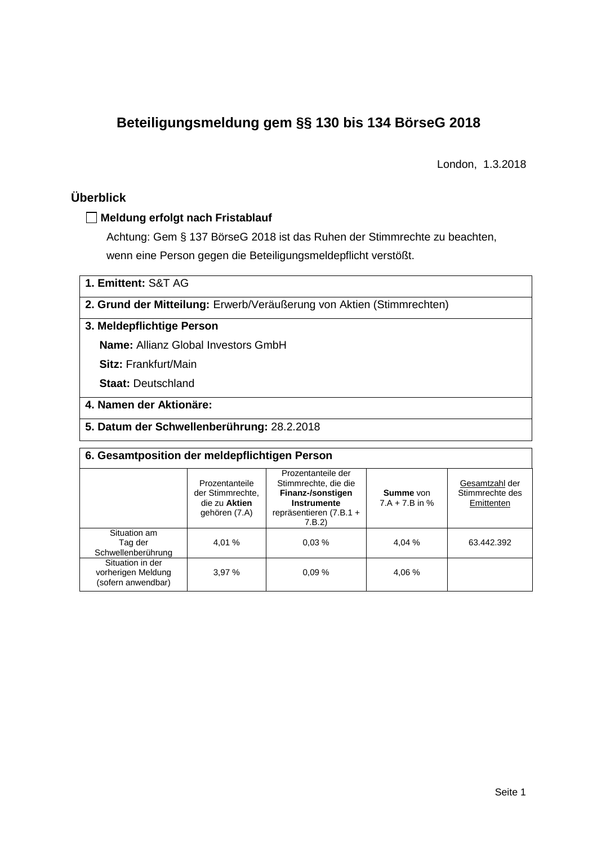# **Beteiligungsmeldung gem §§ 130 bis 134 BörseG 2018**

London, 1.3.2018

# **Überblick**

#### **Meldung erfolgt nach Fristablauf**

Achtung: Gem § 137 BörseG 2018 ist das Ruhen der Stimmrechte zu beachten, wenn eine Person gegen die Beteiligungsmeldepflicht verstößt.

**1. Emittent:** S&T AG

**2. Grund der Mitteilung:** Erwerb/Veräußerung von Aktien (Stimmrechten)

### **3. Meldepflichtige Person**

**Name:** Allianz Global Investors GmbH

**Sitz:** Frankfurt/Main

**Staat:** Deutschland

## **4. Namen der Aktionäre:**

#### **5. Datum der Schwellenberührung:** 28.2.2018

| 6. Gesamtposition der meldepflichtigen Person                |                                                                      |                                                                                                                             |                               |                                                 |  |  |  |  |
|--------------------------------------------------------------|----------------------------------------------------------------------|-----------------------------------------------------------------------------------------------------------------------------|-------------------------------|-------------------------------------------------|--|--|--|--|
|                                                              | Prozentanteile<br>der Stimmrechte.<br>die zu Aktien<br>gehören (7.A) | Prozentanteile der<br>Stimmrechte, die die<br>Finanz-/sonstigen<br><b>Instrumente</b><br>repräsentieren $(7.B.1 +$<br>7.B.2 | Summe von<br>$7.A + 7.B$ in % | Gesamtzahl der<br>Stimmrechte des<br>Emittenten |  |  |  |  |
| Situation am<br>Tag der<br>Schwellenberührung                | 4.01 %                                                               | 0.03%                                                                                                                       | 4.04 %                        | 63.442.392                                      |  |  |  |  |
| Situation in der<br>vorherigen Meldung<br>(sofern anwendbar) | 3.97%                                                                | 0.09%                                                                                                                       | 4.06 %                        |                                                 |  |  |  |  |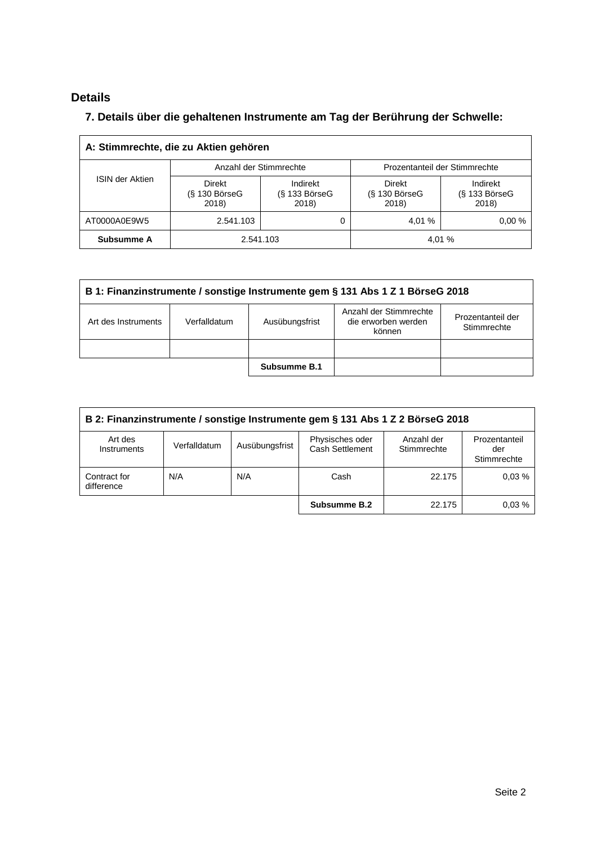# **Details**

 $\overline{\Gamma}$ 

# **7. Details über die gehaltenen Instrumente am Tag der Berührung der Schwelle:**

| A: Stimmrechte, die zu Aktien gehören |                                              |                                      |                                         |                                         |  |  |  |  |
|---------------------------------------|----------------------------------------------|--------------------------------------|-----------------------------------------|-----------------------------------------|--|--|--|--|
| <b>ISIN der Aktien</b>                | Anzahl der Stimmrechte                       |                                      | Prozentanteil der Stimmrechte           |                                         |  |  |  |  |
|                                       | <b>Direkt</b><br>$(S$ 130 Börse $G$<br>2018) | Indirekt<br>$(S$ 133 BörseG<br>2018) | <b>Direkt</b><br>(§ 130 BörseG<br>2018) | Indirekt<br>$(S$ 133 Börse $G$<br>2018) |  |  |  |  |
| AT0000A0E9W5                          | 2.541.103                                    |                                      | 4.01 %                                  | 0.00%                                   |  |  |  |  |
| Subsumme A                            | 2.541.103                                    |                                      |                                         | 4.01 %                                  |  |  |  |  |

| B 1: Finanzinstrumente / sonstige Instrumente gem § 131 Abs 1 Z 1 BörseG 2018                                                                        |  |  |  |  |  |  |  |
|------------------------------------------------------------------------------------------------------------------------------------------------------|--|--|--|--|--|--|--|
| Anzahl der Stimmrechte<br>Prozentanteil der<br>Verfalldatum<br>Ausübungsfrist<br>die erworben werden<br>Art des Instruments<br>Stimmrechte<br>können |  |  |  |  |  |  |  |
|                                                                                                                                                      |  |  |  |  |  |  |  |
| Subsumme B.1                                                                                                                                         |  |  |  |  |  |  |  |

| B 2: Finanzinstrumente / sonstige Instrumente gem § 131 Abs 1 Z 2 BörseG 2018 |              |                |                                    |                           |                                     |  |  |
|-------------------------------------------------------------------------------|--------------|----------------|------------------------------------|---------------------------|-------------------------------------|--|--|
| Art des<br>Instruments                                                        | Verfalldatum | Ausübungsfrist | Physisches oder<br>Cash Settlement | Anzahl der<br>Stimmrechte | Prozentanteil<br>der<br>Stimmrechte |  |  |
| Contract for<br>difference                                                    | N/A          | N/A            | Cash                               | 22.175                    | 0.03%                               |  |  |
|                                                                               |              |                | Subsumme B.2                       | 22.175                    | 0.03%                               |  |  |

 $\overline{\phantom{a}}$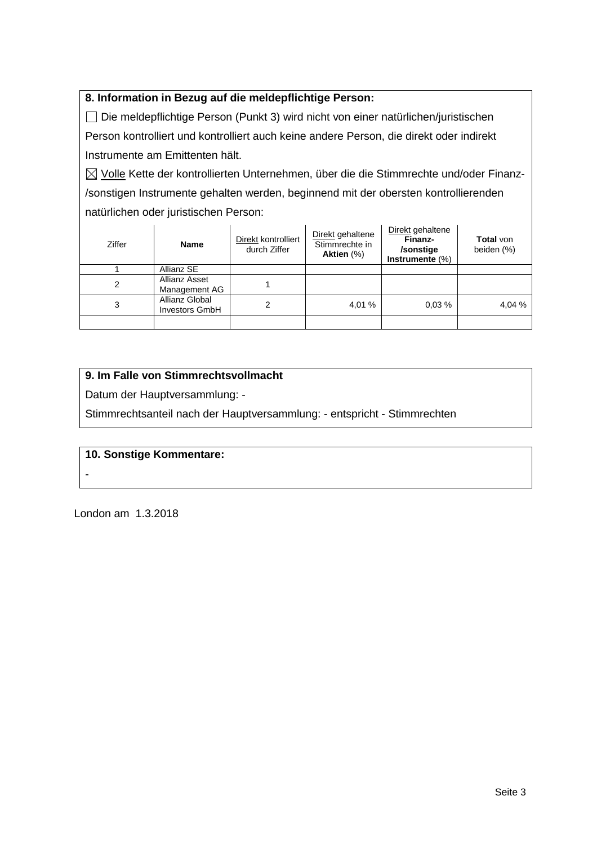## **8. Information in Bezug auf die meldepflichtige Person:**

 Die meldepflichtige Person (Punkt 3) wird nicht von einer natürlichen/juristischen Person kontrolliert und kontrolliert auch keine andere Person, die direkt oder indirekt Instrumente am Emittenten hält.

 $\boxtimes$  Volle Kette der kontrollierten Unternehmen, über die die Stimmrechte und/oder Finanz-/sonstigen Instrumente gehalten werden, beginnend mit der obersten kontrollierenden natürlichen oder juristischen Person:

| Ziffer | <b>Name</b>                             | Direkt kontrolliert<br>durch Ziffer | Direkt gehaltene<br>Stimmrechte in<br>Aktien $(\%)$ | Direkt gehaltene<br>Finanz-<br>/sonstige<br>Instrumente (%) | <b>Total von</b><br>beiden (%) |
|--------|-----------------------------------------|-------------------------------------|-----------------------------------------------------|-------------------------------------------------------------|--------------------------------|
|        | Allianz SE                              |                                     |                                                     |                                                             |                                |
| 2      | Allianz Asset<br>Management AG          |                                     |                                                     |                                                             |                                |
| 3      | Allianz Global<br><b>Investors GmbH</b> | っ                                   | 4,01 %                                              | 0.03%                                                       | 4,04 %                         |
|        |                                         |                                     |                                                     |                                                             |                                |

## **9. Im Falle von Stimmrechtsvollmacht**

Datum der Hauptversammlung: -

Stimmrechtsanteil nach der Hauptversammlung: - entspricht - Stimmrechten

## **10. Sonstige Kommentare:**

-

London am 1.3.2018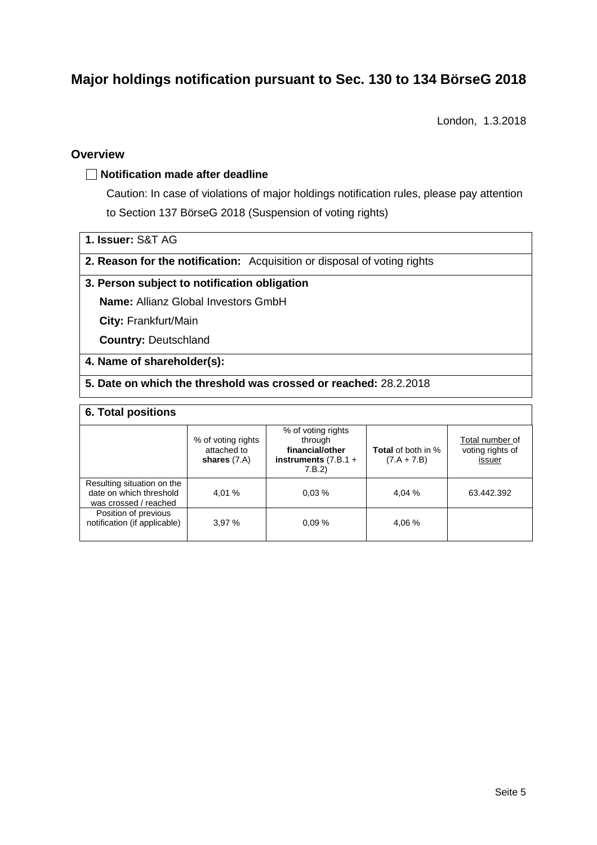# **Major holdings notification pursuant to Sec. 130 to 134 BörseG 2018**

London, 1.3.2018

### **Overview**

#### **Notification made after deadline**

Caution: In case of violations of major holdings notification rules, please pay attention to Section 137 BörseG 2018 (Suspension of voting rights)

**1. Issuer:** S&T AG

**2. Reason for the notification:** Acquisition or disposal of voting rights

### **3. Person subject to notification obligation**

**Name:** Allianz Global Investors GmbH

**City:** Frankfurt/Main

**Country:** Deutschland

#### **4. Name of shareholder(s):**

### **5. Date on which the threshold was crossed or reached:** 28.2.2018

#### **6. Total positions**

|                                                                                | % of voting rights<br>attached to<br>shares $(7.A)$ | % of voting rights<br>through<br>financial/other<br>instruments $(7.B.1 +$<br>7.B.2 | <b>Total</b> of both in %<br>$(7.A + 7.B)$ | Total number of<br>voting rights of<br>issuer |
|--------------------------------------------------------------------------------|-----------------------------------------------------|-------------------------------------------------------------------------------------|--------------------------------------------|-----------------------------------------------|
| Resulting situation on the<br>date on which threshold<br>was crossed / reached | 4.01 %                                              | 0.03%                                                                               | 4,04 %                                     | 63.442.392                                    |
| Position of previous<br>notification (if applicable)                           | 3.97%                                               | 0.09%                                                                               | 4,06 %                                     |                                               |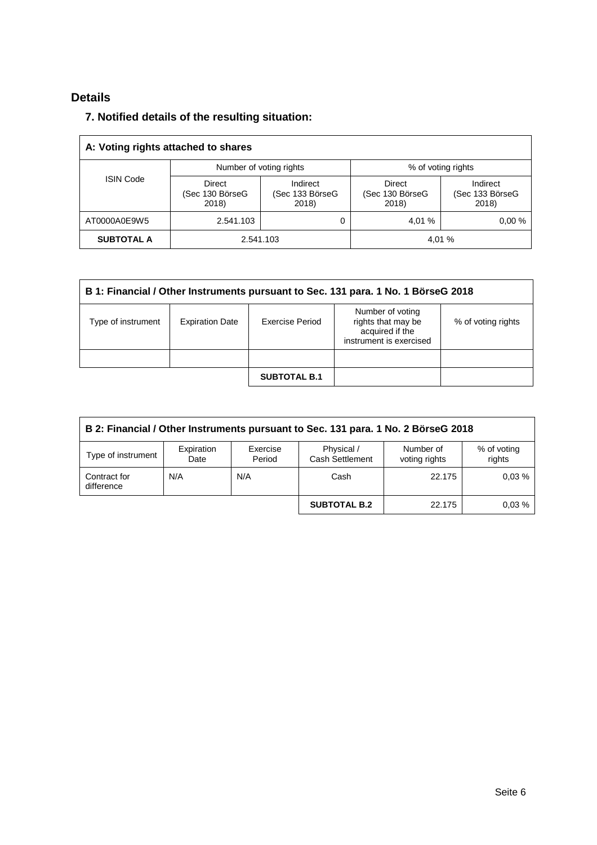# **Details**

## **7. Notified details of the resulting situation:**

| A: Voting rights attached to shares |                                           |                                      |                                           |                                      |  |  |  |
|-------------------------------------|-------------------------------------------|--------------------------------------|-------------------------------------------|--------------------------------------|--|--|--|
|                                     | Number of voting rights                   |                                      | % of voting rights                        |                                      |  |  |  |
| <b>ISIN Code</b>                    | <b>Direct</b><br>(Sec 130 BörseG<br>2018) | Indirect<br>(Sec 133 BörseG<br>2018) | <b>Direct</b><br>(Sec 130 BörseG<br>2018) | Indirect<br>(Sec 133 BörseG<br>2018) |  |  |  |
| AT0000A0E9W5                        | 2.541.103                                 | 0                                    | 4.01 %                                    | 0.00%                                |  |  |  |
| <b>SUBTOTAL A</b>                   | 2.541.103                                 |                                      |                                           | 4.01 %                               |  |  |  |

| B 1: Financial / Other Instruments pursuant to Sec. 131 para. 1 No. 1 BörseG 2018 |                        |                     |                                                                                      |                    |  |  |
|-----------------------------------------------------------------------------------|------------------------|---------------------|--------------------------------------------------------------------------------------|--------------------|--|--|
| Type of instrument                                                                | <b>Expiration Date</b> | Exercise Period     | Number of voting<br>rights that may be<br>acquired if the<br>instrument is exercised | % of voting rights |  |  |
|                                                                                   |                        |                     |                                                                                      |                    |  |  |
|                                                                                   |                        | <b>SUBTOTAL B.1</b> |                                                                                      |                    |  |  |

| B 2: Financial / Other Instruments pursuant to Sec. 131 para. 1 No. 2 BörseG 2018 |                    |                    |                               |                            |                       |  |  |
|-----------------------------------------------------------------------------------|--------------------|--------------------|-------------------------------|----------------------------|-----------------------|--|--|
| Type of instrument                                                                | Expiration<br>Date | Exercise<br>Period | Physical /<br>Cash Settlement | Number of<br>voting rights | % of voting<br>rights |  |  |
| Contract for<br>difference                                                        | N/A                | N/A                | Cash                          | 22.175                     | 0.03%                 |  |  |
|                                                                                   |                    |                    | <b>SUBTOTAL B.2</b>           | 22.175                     | 0.03%                 |  |  |